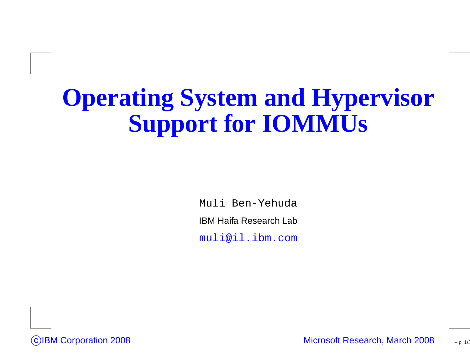### **Operating System and HypervisorSupport for IOMMUs**

Muli Ben-Yehuda

IBM Haifa Research Lab

muli@il.ibm.com



Microsoft Research, March <sup>2008</sup>

– p. 1/36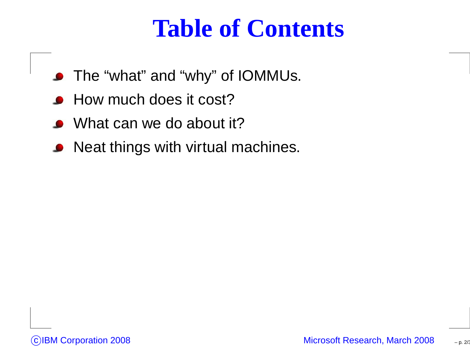#### **Table of Contents**

- The "what" and "why" of IOMMUs.
- How much does it cost? $\bullet$
- What can we do about it?
- Neat things with virtual machines.

– p. 2/36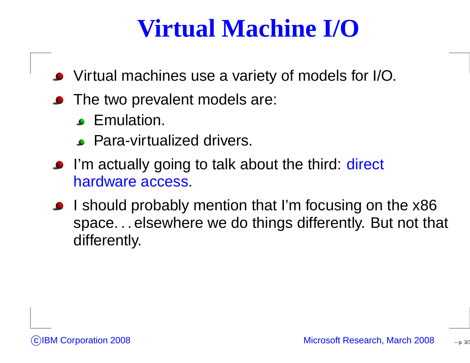### **Virtual Machine I/O**

- Virtual machines use <sup>a</sup> variety of models for I/O.
- **•** The two prevalent models are:
	- **C** Emulation.
	- **Para-virtualized drivers.**
- I'm actually going to talk about the third: direct hardware access.
- I should probably mention that I'm focusing on the x86 space. . . elsewhere we do things differently. But not that differently.

 $p. 3/3$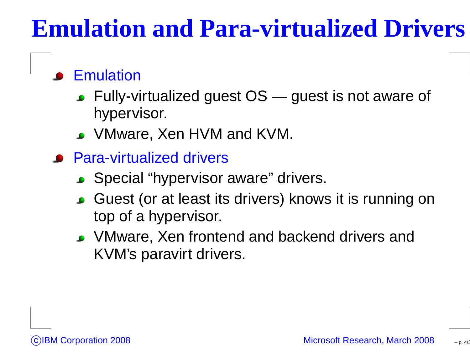### **Emulation and Para-virtualized Drivers**

#### **Emulation**

- Fully-virtualized guest  $\mathsf{OS}\,$  guest is not aware of hypervisor.
- VMware, Xen HVM and KVM.
- **Para-virtualized drivers** 
	- Special "hypervisor aware" drivers.
	- Guest (or at least its drivers) knows it is running ontop of <sup>a</sup> hypervisor.
	- VMware, Xen frontend and backend drivers andKVM's paravirt drivers.

p. 4/3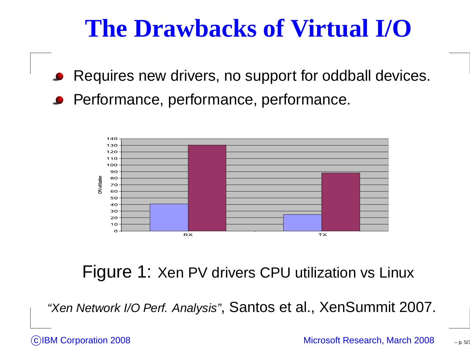### **The Drawbacks of Virtual I/O**

Requires new drivers, no support for oddball devices. **Performance, performance, performance.** 



Figure 1: Xen PV drivers CPU utilization vs Linux

"Xen Network I/O Perf. Analysis", Santos et al., XenSummit 2007.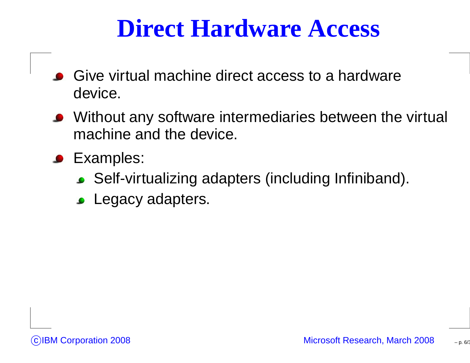#### **Direct Hardware Access**

- Give virtual machine direct access to <sup>a</sup> hardwaredevice.
- Without any software intermediaries between the virtual machine and the device.
- **C** Examples:
	- Self-virtualizing adapters (including Infiniband).
	- Legacy adapters.

p. 6/3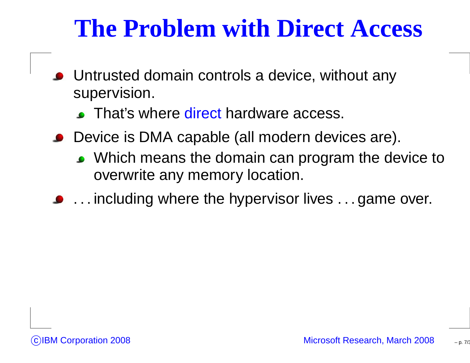### **The Problem with Direct Access**

- Untrusted domain controls <sup>a</sup> device, without anysupervision.
	- That's where <mark>direct</mark> hardware access.
- Device is DMA capable (all modern devices are).
	- Which means the domain can program the device to overwrite any memory location.
- **.** . . . including where the hypervisor lives . . . game over.

p. 7/36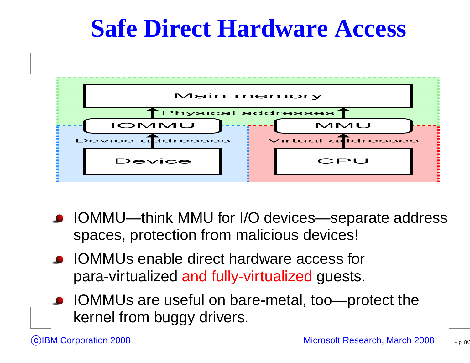### **Safe Direct Hardware Access**



- IOMMU—think MMU for I/O devices—separate address spaces, protection from malicious devices!
- **IOMMUs enable direct hardware access for** para-virtualized and fully-virtualized guests.
- IOMMUs are useful on bare-metal, too—protect the kernel from buggy drivers.

– p. 8/36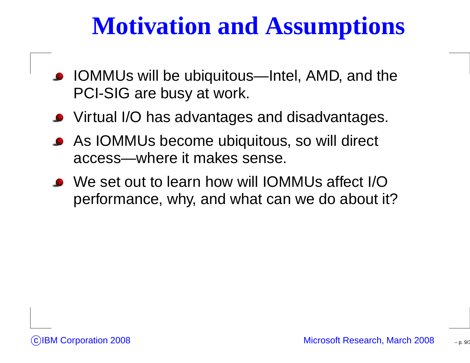### **Motivation and Assumptions**

- IOMMUs will be ubiquitous—Intel, AMD, and thePCI-SIG are busy at work.
- Virtual I/O has advantages and disadvantages.
- As IOMMUs become ubiquitous, so will direct access—where it makes sense.
- We set out to learn how will IOMMUs affect I/Operformance, why, and what can we do about it?

p. 9/36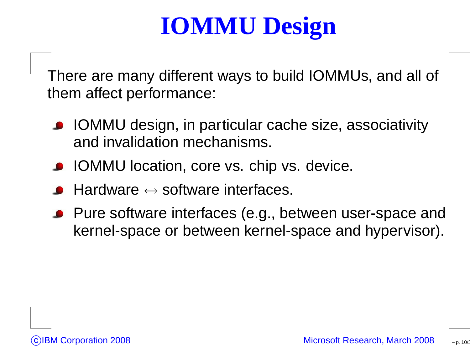# **IOMMU Design**

There are many different ways to build IOMMUs, and all of them affect performance:

- IOMMU design, in particular cache size, associativityand invalidation mechanisms.
- **IOMMU** location, core vs. chip vs. device.
- Hardware  $\leftrightarrow$  $\leftrightarrow$  software interfaces.
- **Pure software interfaces (e.g., between user-space and** kernel-space or between kernel-space and hypervisor).

– p. 10/36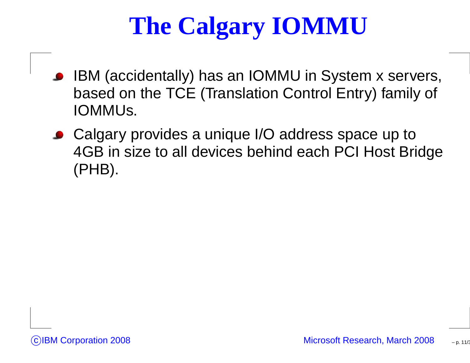# **The Calgary IOMMU**

- IBM (accidentally) has an IOMMU in System <sup>x</sup> servers, based on the TCE (Translation Control Entry) family of IOMMUs.
- Calgary provides a unique I/O address space up to 4GB in size to all devices behind each PCI Host Bridge(PHB).

– p. 11/36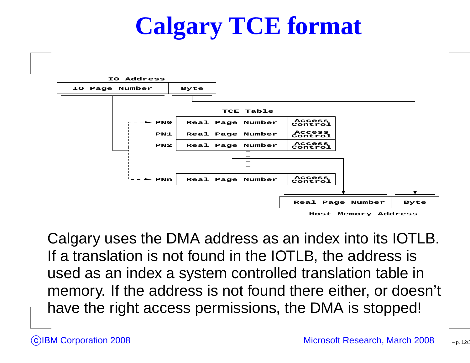# **Calgary TCE format**



Calgary uses the DMA address as an index into its IOTLB. If <sup>a</sup> translation is not found in the IOTLB, the address is used as an index <sup>a</sup> system controlled translation table in memory. If the address is not found there either, or doesn't have the right access permissions, the DMA is stopped!

– p. 12/36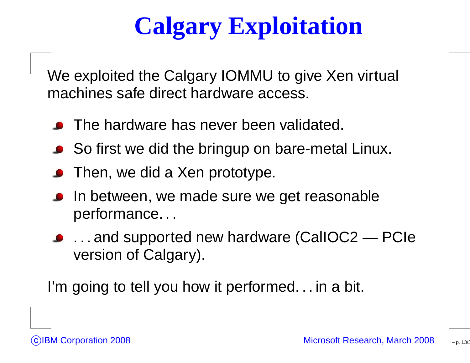# **Calgary Exploitation**

We exploited the Calgary IOMMU to give Xen virtual machines safe direct hardware access.

- The hardware has never been validated.
- So first we did the bringup on bare-metal Linux.
- Then, we did <sup>a</sup> Xen prototype.
- In between, we made sure we get reasonableperformance. . .
- . . . and supported new hardware (CalIOC2 PCIeversion of Calgary).

I'm going to tell you how it performed... in a bit.

– p. 13/3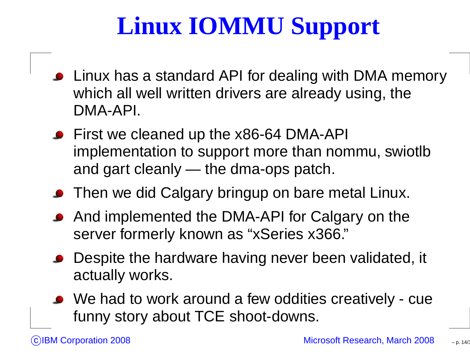# **Linux IOMMU Support**

- Linux has <sup>a</sup> standard API for dealing with DMA memorywhich all well written drivers are already using, theDMA-API.
- First we cleaned up the x86-64 DMA-API implementation to support more than nommu, swiotlband gart cleanly — the dma-ops patch.
- **Then we did Calgary bringup on bare metal Linux.**
- And implemented the DMA-API for Calgary on theserver formerly known as "xSeries x366."
- Despite the hardware having never been validated, it actually works.
- We had to work around <sup>a</sup> few oddities creatively cuefunny story about TCE shoot-downs.

– p. 14/36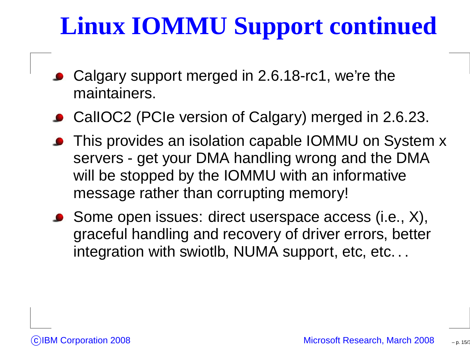# **Linux IOMMU Support continued**

- Calgary support merged in 2.6.18-rc1, we're themaintainers.
- CalIOC2 (PCIe version of Calgary) merged in 2.6.23.
- This provides an isolation capable IOMMU on System <sup>x</sup>servers - get your DMA handling wrong and the DMAwill be stopped by the IOMMU with an informative message rather than corrupting memory!
- Some open issues: direct userspace access (i.e., X), graceful handling and recovery of driver errors, betterintegration with swiotlb, NUMA support, etc, etc...

– p. 15/36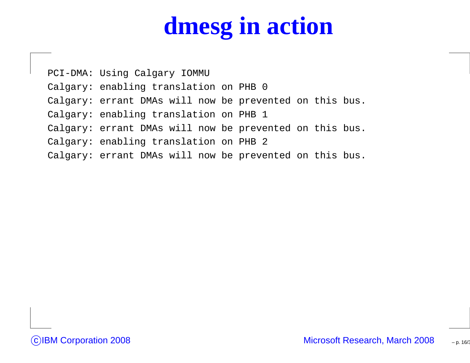# **dmesg in action**

PCI-DMA: Using Calgary IOMMU Calgary: enabling translation on PHB <sup>0</sup> Calgary: errant DMAs will now be prevented on this bus. Calgary: enabling translation on PHB <sup>1</sup> Calgary: errant DMAs will now be prevented on this bus. Calgary: enabling translation on PHB <sup>2</sup> Calgary: errant DMAs will now be prevented on this bus.

– p. 16/36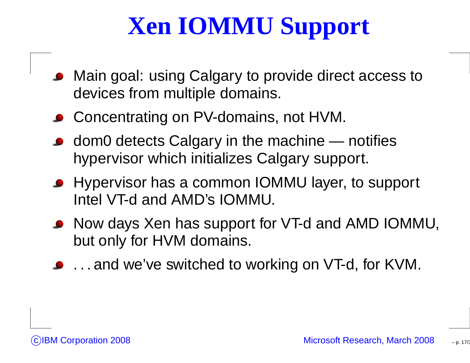# **Xen IOMMU Support**

- Main goal: using Calgary to provide direct access todevices from multiple domains.
- Concentrating on PV-domains, not HVM.
- dom0 detects Calgary in the machine notifieshypervisor which initializes Calgary support.
- Hypervisor has <sup>a</sup> common IOMMU layer, to support Intel VT-d and AMD's IOMMU.
- Now days Xen has support for VT-d and AMD IOMMU, but only for HVM domains.
- **.** . . . and we've switched to working on VT-d, for KVM.

– p. 17/36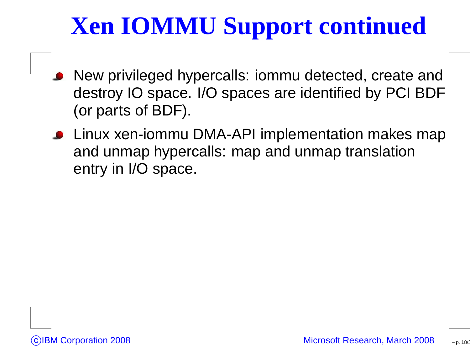# **Xen IOMMU Support continued**

- New privileged hypercalls: iommu detected, create and destroy IO space. I/O spaces are identified by PCI BDF(or parts of BDF).
- **.** Linux xen-iommu DMA-API implementation makes map and unmap hypercalls: map and unmap translationentry in I/O space.

– p. 18/36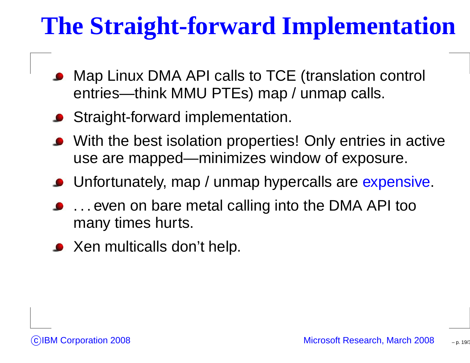# **The Straight-forward Implementation**

- Map Linux DMA API calls to TCE (translation control entries—think MMU PTEs) map / unmap calls.
- **Straight-forward implementation.**
- With the best isolation properties! Only entries in activeuse are mapped—minimizes window of exposure.
- Unfortunately, map / unmap hypercalls are <mark>expensive</mark>.
- . . . even on bare metal calling into the DMA API toomany times hurts.
- **•** Xen multicalls don't help.



– p. 19/36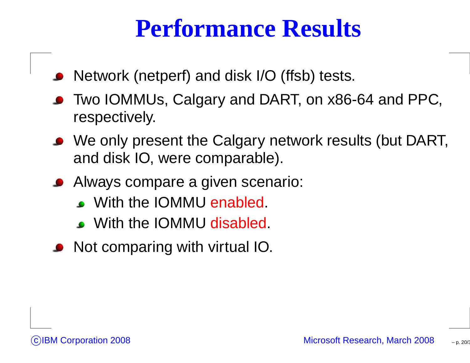#### **Performance Results**

- Network (netperf) and disk I/O (ffsb) tests.
- Two IOMMUs, Calgary and DART, on x86-64 and PPC, respectively.
- We only present the Calgary network results (but DART, and disk IO, were comparable).
- Always compare <sup>a</sup> given scenario:
	- With the IOMMU enabled.
	- With the IOMMU disabled.
- Not comparing with virtual IO.

– p. 20/36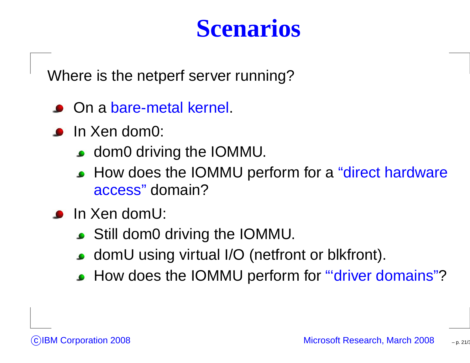### **Scenarios**

Where is the netperf server running?

- On <sup>a</sup> bare-metal kernel.
- **In Xen dom0:** 
	- **c** dom0 driving the IOMMU.
	- How does the IOMMU perform for a "direct hardware <mark>access</mark>" domain?
- **In Xen domU:** 
	- Still dom0 driving the IOMMU.
	- domU using virtual I/O (netfront or blkfront).
	- How does the IOMMU perform for "'<mark>driver domains</mark>"?

– p. 21/36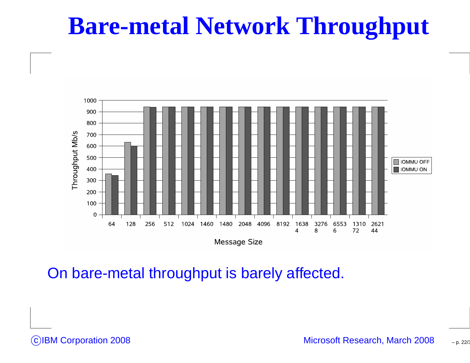#### **Bare-metal Network Throughput**



On bare-metal throughput is barely affected.

CIBM Corporation 2008

Microsoft Research, March <sup>2008</sup>

– p. 22/36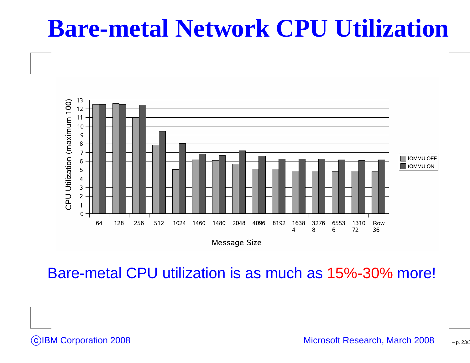#### **Bare-metal Network CPU Utilization**



Bare-metal CPU utilization is as much as 15%-30% more!

CIBM Corporation 2008

– p. 23/36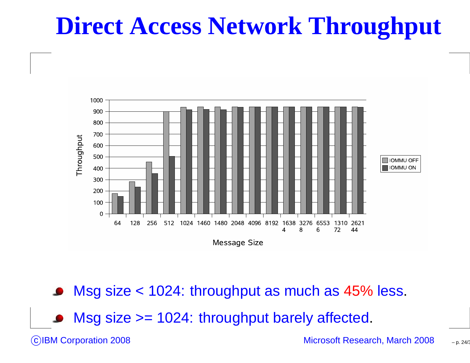## **Direct Access Network Throughput**



Msg size <sup>&</sup>lt; 1024: throughput as much as 45% less.

Msg size >= 1024: throughput barely affected.

CIBM Corporation 2008

Microsoft Research, March <sup>2008</sup>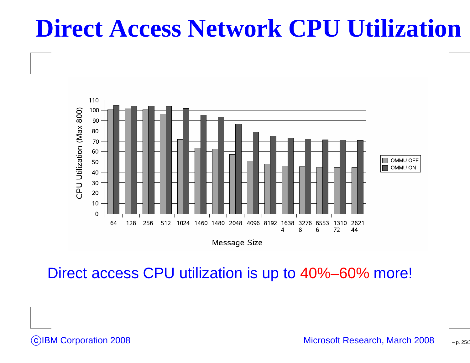### **Direct Access Network CPU Utilization**



Direct access CPU utilization is up to 40%–60% more!

CIBM Corporation 2008

– p. 25/36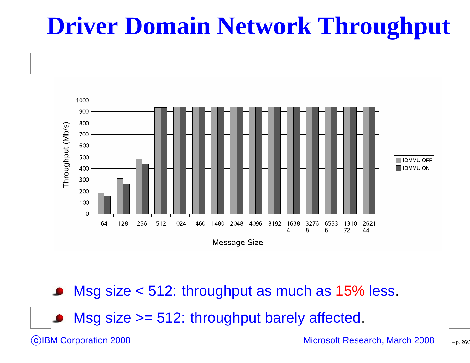# **Driver Domain Network Throughput**



Msg size <sup>&</sup>lt; 512: throughput as much as 15% less.

■ Msg size >= 512: throughput barely affected.

CIBM Corporation 2008

Microsoft Research, March <sup>2008</sup>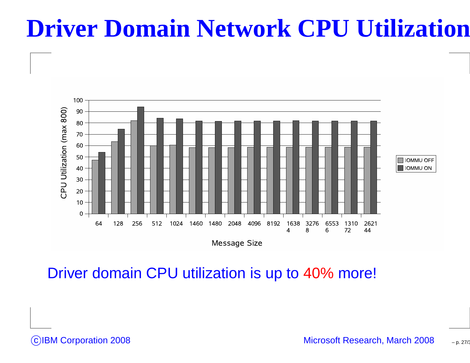### **Driver Domain Network CPU Utilization**



Driver domain CPU utilization is up to 40% more!

CIBM Corporation 2008

Microsoft Research, March <sup>2008</sup>

– p. 27/36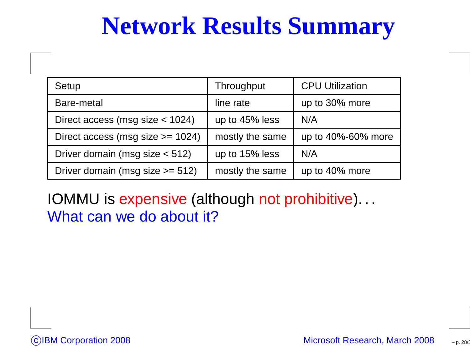### **Network Results Summary**

| Setup                                | Throughput      | <b>CPU Utilization</b> |
|--------------------------------------|-----------------|------------------------|
| Bare-metal                           | line rate       | up to 30% more         |
| Direct access (msg size $<$ 1024)    | up to 45% less  | N/A                    |
| Direct access (msg size $>= 1024$ )  | mostly the same | up to 40%-60% more     |
| Driver domain (msg size $<$ 512)     | up to 15% less  | N/A                    |
| Driver domain (msg size $\ge$ = 512) | mostly the same | up to 40% more         |

IOMMU is expensive (although not prohibitive). . . What can we do about it?

– p. 28/36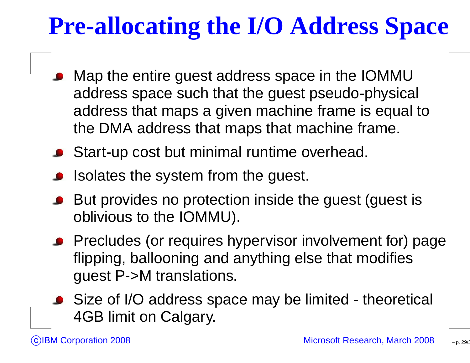# **Pre-allocating the I/O Address Space**

- Map the entire guest address space in the IOMMU address space such that the guest pseudo-physical address that maps <sup>a</sup> given machine frame is equal tothe DMA address that maps that machine frame.
- **Start-up cost but minimal runtime overhead.**
- Isolates the system from the guest.
- But provides no protection inside the guest (guest is oblivious to the IOMMU).
- **•** Precludes (or requires hypervisor involvement for) page flipping, ballooning and anything else that modifiesguest P->M translations.
- Size of I/O address space may be limited theoretical 4GB limit on Calgary.

– p. 29/36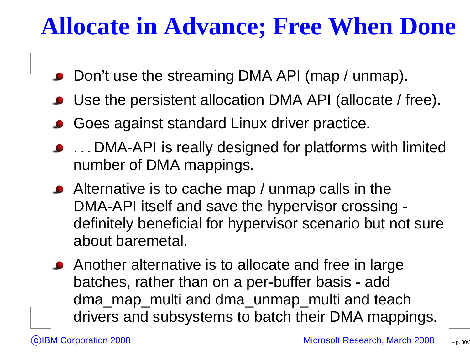### **Allocate in Advance; Free When Done**

- Don't use the streaming DMA API (map / unmap).
- Use the persistent allocation DMA API (allocate / free).
- Goes against standard Linux driver practice.
- **...** DMA-API is really designed for platforms with limited number of DMA mappings.
- Alternative is to cache map / unmap calls in the DMA-API itself and save the hypervisor crossing definitely beneficial for hypervisor scenario but not sureabout baremetal.
- Another alternative is to allocate and free in largebatches, rather than on <sup>a</sup> per-buffer basis - add dma\_map\_multi and dma\_unmap\_multi and teachdrivers and subsystems to batch their DMA mappings.

– p. 30/36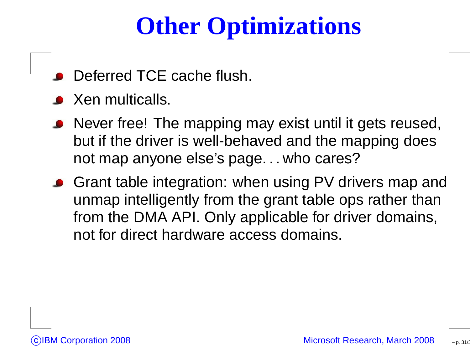# **Other Optimizations**

- Deferred TCE cache flush.
- **S** Xen multicalls.
- Never free! The mapping may exist until it gets reused, but if the driver is well-behaved and the mapping doesnot map anyone else's page. . . who cares?
- **Grant table integration: when using PV drivers map and**  unmap intelligently from the grant table ops rather than from the DMA API. Only applicable for driver domains, not for direct hardware access domains.

– p. 31/36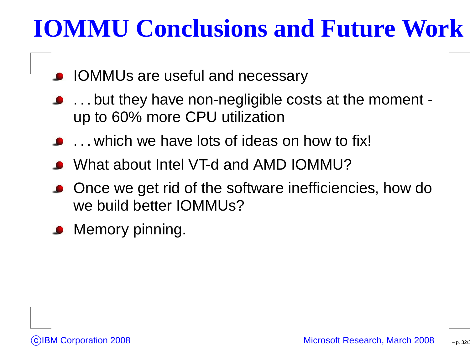# **IOMMU Conclusions and Future Work**

- **IOMMUs are useful and necessary**
- . . . but they have non-negligible costs at the moment up to 60% more CPU utilization
- ... which we have lots of ideas on how to fix!
- What about Intel VT-d and AMD IOMMU?
- Once we get rid of the software inefficiencies, how dowe build better IOMMUs?
- Memory pinning.

– p. 32/36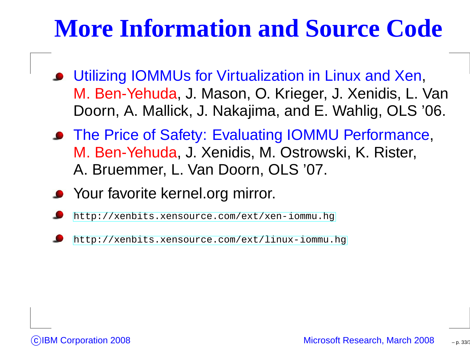## **More Information and Source Code**

- Utilizing IOMMUs for Virtualization in Linux and Xen, M. Ben-Yehuda, J. Mason, O. Krieger, J. Xenidis, L. VanDoorn, A. Mallick, J. Nakajima, and E. Wahlig, OLS '06.
- The Price of Safety: Evaluating IOMMU Performance, M. Ben-Yehuda, J. Xenidis, M. Ostrowski, K. Rister, A. Bruemmer, L. Van Doorn, OLS '07.
- Your favorite kernel.org mirror.
- [http://xenbits](http://xenbits.xensource.com/ext/xen-iommu.hg).[xensource](http://xenbits.xensource.com/ext/xen-iommu.hg).[com/ext/xen](http://xenbits.xensource.com/ext/xen-iommu.hg)-[iommu](http://xenbits.xensource.com/ext/xen-iommu.hg).hg
- [http://xenbits](http://xenbits.xensource.com/ext/linux-iommu.hg).[xensource](http://xenbits.xensource.com/ext/linux-iommu.hg).[com/ext/linux](http://xenbits.xensource.com/ext/linux-iommu.hg)-[iommu](http://xenbits.xensource.com/ext/linux-iommu.hg).hg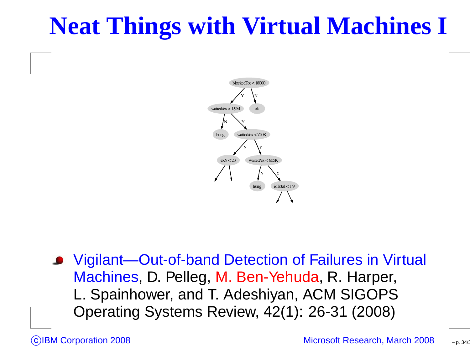## **Neat Things with Virtual Machines I**



Vigilant—Out-of-band Detection of Failures in Virtual Machines, D. Pelleg, M. Ben-Yehuda, R. Harper, L. Spainhower, and T. Adeshiyan, ACM SIGOPSOperating Systems Review, 42(1): 26-31 (2008)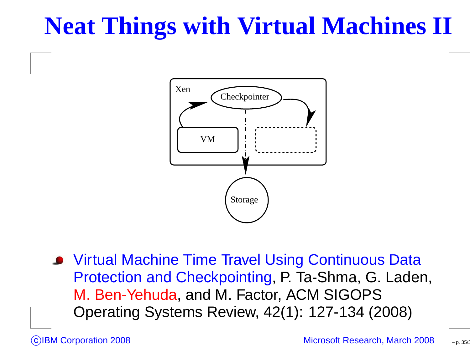# **Neat Things with Virtual Machines II**



**• Virtual Machine Time Travel Using Continuous Data**  Protection and Checkpointing, P. Ta-Shma, G. Laden, M. Ben-Yehuda, and M. Factor, ACM SIGOPSOperating Systems Review, 42(1): 127-134 (2008)

– p. 35/36